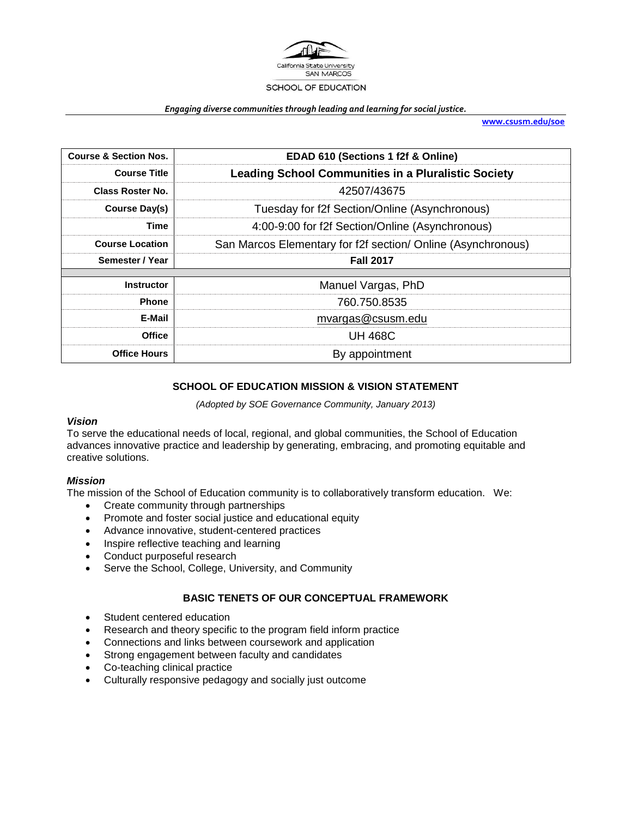

#### *Engaging diverse communities through leading and learning for social justice.*

**[www.csusm.edu/soe](http://www.csusm.edu/soe)**

| <b>Course &amp; Section Nos.</b> | EDAD 610 (Sections 1 f2f & Online)                           |  |  |
|----------------------------------|--------------------------------------------------------------|--|--|
| <b>Course Title</b>              | <b>Leading School Communities in a Pluralistic Society</b>   |  |  |
| <b>Class Roster No.</b>          | 42507/43675                                                  |  |  |
| Course Day(s)                    | Tuesday for f2f Section/Online (Asynchronous)                |  |  |
| Time                             | 4:00-9:00 for f2f Section/Online (Asynchronous)              |  |  |
| <b>Course Location</b>           | San Marcos Elementary for f2f section/ Online (Asynchronous) |  |  |
| Semester / Year                  | <b>Fall 2017</b>                                             |  |  |
| <b>Instructor</b>                | Manuel Vargas, PhD                                           |  |  |
| <b>Phone</b>                     | 760.750.8535                                                 |  |  |
| E-Mail                           | mvargas@csusm.edu                                            |  |  |
| <b>Office</b>                    | <b>UH 468C</b>                                               |  |  |
| <b>Office Hours</b>              | By appointment                                               |  |  |

#### **SCHOOL OF EDUCATION MISSION & VISION STATEMENT**

*(Adopted by SOE Governance Community, January 2013)*

#### *Vision*

To serve the educational needs of local, regional, and global communities, the School of Education advances innovative practice and leadership by generating, embracing, and promoting equitable and creative solutions.

#### *Mission*

The mission of the School of Education community is to collaboratively transform education. We:

- Create community through partnerships
- Promote and foster social justice and educational equity
- Advance innovative, student-centered practices
- Inspire reflective teaching and learning
- Conduct purposeful research
- Serve the School, College, University, and Community

#### **BASIC TENETS OF OUR CONCEPTUAL FRAMEWORK**

- Student centered education
- Research and theory specific to the program field inform practice
- Connections and links between coursework and application
- Strong engagement between faculty and candidates
- Co-teaching clinical practice
- Culturally responsive pedagogy and socially just outcome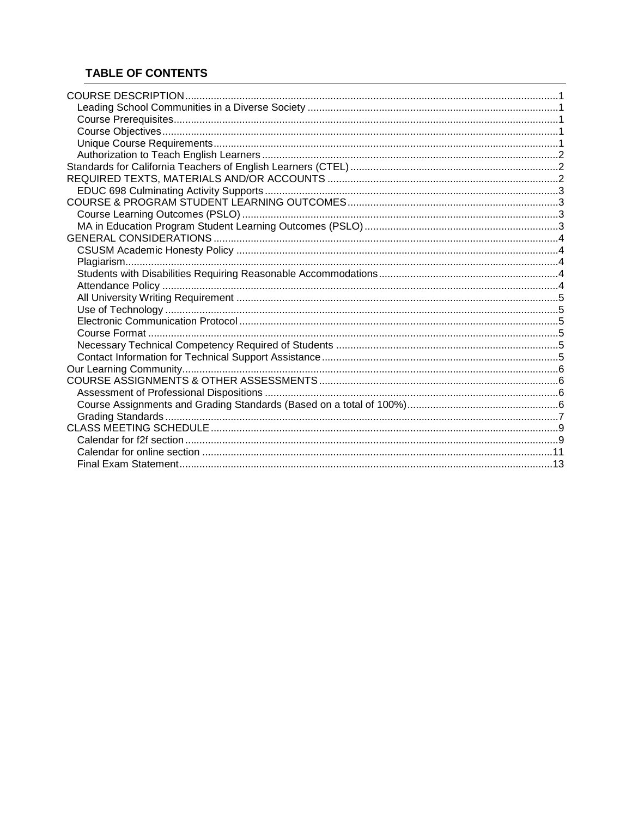# **TABLE OF CONTENTS**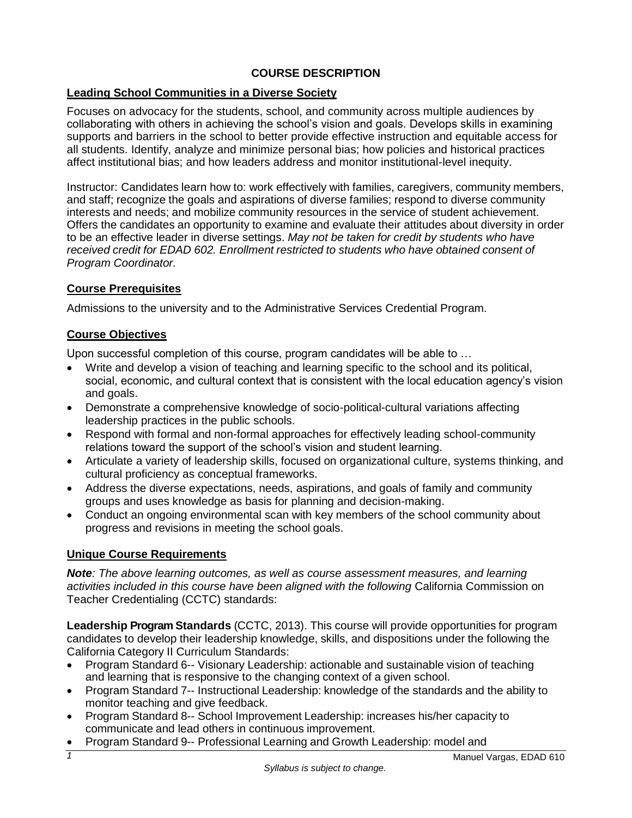# **COURSE DESCRIPTION**

# <span id="page-2-1"></span><span id="page-2-0"></span>**Leading School Communities in a Diverse Society**

Focuses on advocacy for the students, school, and community across multiple audiences by collaborating with others in achieving the school's vision and goals. Develops skills in examining supports and barriers in the school to better provide effective instruction and equitable access for all students. Identify, analyze and minimize personal bias; how policies and historical practices affect institutional bias; and how leaders address and monitor institutional-level inequity.

Instructor: Candidates learn how to: work effectively with families, caregivers, community members, and staff; recognize the goals and aspirations of diverse families; respond to diverse community interests and needs; and mobilize community resources in the service of student achievement. Offers the candidates an opportunity to examine and evaluate their attitudes about diversity in order to be an effective leader in diverse settings. *May not be taken for credit by students who have received credit for EDAD 602. Enrollment restricted to students who have obtained consent of Program Coordinator.*

## <span id="page-2-2"></span>**Course Prerequisites**

Admissions to the university and to the Administrative Services Credential Program.

# <span id="page-2-3"></span>**Course Objectives**

Upon successful completion of this course, program candidates will be able to …

- Write and develop a vision of teaching and learning specific to the school and its political, social, economic, and cultural context that is consistent with the local education agency's vision and goals.
- Demonstrate a comprehensive knowledge of socio-political-cultural variations affecting leadership practices in the public schools.
- Respond with formal and non-formal approaches for effectively leading school-community relations toward the support of the school's vision and student learning.
- Articulate a variety of leadership skills, focused on organizational culture, systems thinking, and cultural proficiency as conceptual frameworks.
- Address the diverse expectations, needs, aspirations, and goals of family and community groups and uses knowledge as basis for planning and decision-making.
- Conduct an ongoing environmental scan with key members of the school community about progress and revisions in meeting the school goals.

# <span id="page-2-4"></span>**Unique Course Requirements**

*Note: The above learning outcomes, as well as course assessment measures, and learning activities included in this course have been aligned with the following* California Commission on Teacher Credentialing (CCTC) standards:

**Leadership Program Standards** (CCTC, 2013). This course will provide opportunities for program candidates to develop their leadership knowledge, skills, and dispositions under the following the California Category II Curriculum Standards:

- Program Standard 6-- Visionary Leadership: actionable and sustainable vision of teaching and learning that is responsive to the changing context of a given school.
- Program Standard 7-- Instructional Leadership: knowledge of the standards and the ability to monitor teaching and give feedback.
- Program Standard 8-- School Improvement Leadership: increases his/her capacity to communicate and lead others in continuous improvement.
- Program Standard 9-- Professional Learning and Growth Leadership: model and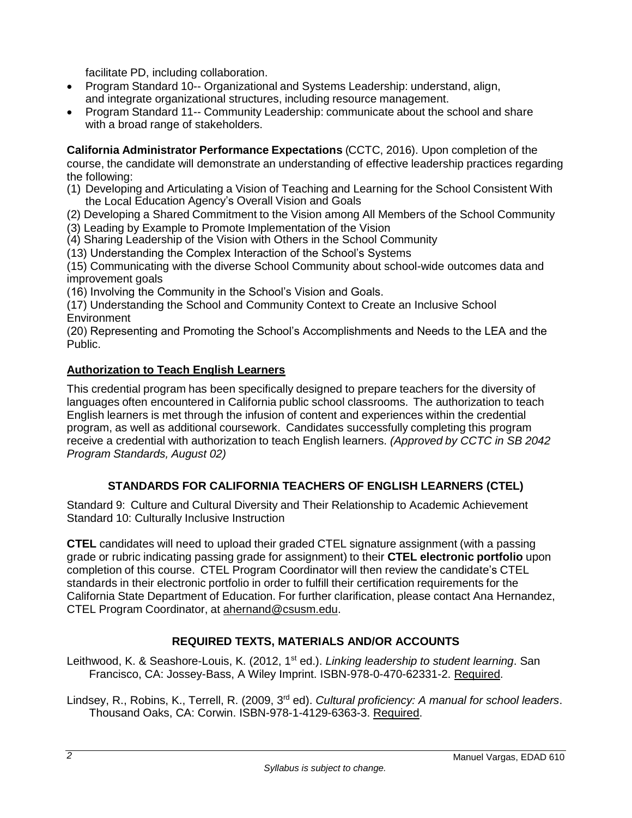facilitate PD, including collaboration.

- Program Standard 10-- Organizational and Systems Leadership: understand, align, and integrate organizational structures, including resource management.
- Program Standard 11-- Community Leadership: communicate about the school and share with a broad range of stakeholders.

**California Administrator Performance Expectations** (CCTC, 2016). Upon completion of the course, the candidate will demonstrate an understanding of effective leadership practices regarding the following:

(1) Developing and Articulating a Vision of Teaching and Learning for the School Consistent With the Local Education Agency's Overall Vision and Goals

(2) Developing a Shared Commitment to the Vision among All Members of the School Community (3) Leading by Example to Promote Implementation of the Vision

(4) Sharing Leadership of the Vision with Others in the School Community

(13) Understanding the Complex Interaction of the School's Systems

(15) Communicating with the diverse School Community about school-wide outcomes data and improvement goals

(16) Involving the Community in the School's Vision and Goals.

(17) Understanding the School and Community Context to Create an Inclusive School **Environment** 

(20) Representing and Promoting the School's Accomplishments and Needs to the LEA and the Public.

# <span id="page-3-0"></span>**Authorization to Teach English Learners**

This credential program has been specifically designed to prepare teachers for the diversity of languages often encountered in California public school classrooms. The authorization to teach English learners is met through the infusion of content and experiences within the credential program, as well as additional coursework. Candidates successfully completing this program receive a credential with authorization to teach English learners. *(Approved by CCTC in SB 2042 Program Standards, August 02)*

# **STANDARDS FOR CALIFORNIA TEACHERS OF ENGLISH LEARNERS (CTEL)**

<span id="page-3-1"></span>Standard 9: Culture and Cultural Diversity and Their Relationship to Academic Achievement Standard 10: Culturally Inclusive Instruction

**CTEL** candidates will need to upload their graded CTEL signature assignment (with a passing grade or rubric indicating passing grade for assignment) to their **CTEL electronic portfolio** upon completion of this course. CTEL Program Coordinator will then review the candidate's CTEL standards in their electronic portfolio in order to fulfill their certification requirements for the California State Department of Education. For further clarification, please contact Ana Hernandez, CTEL Program Coordinator, at [ahernand@csusm.edu.](https://bl2prd0511.outlook.com/owa/redir.aspx?C=AW7hZ-DBL0G6FPgB8G8Eri3bAwuccNAIwYI81VgsrzvmHC5AEo6nGJNyvZWC7aqWfxtUgiTx_9k.&URL=mailto%3aahernand%40csusm.edu)

# **REQUIRED TEXTS, MATERIALS AND/OR ACCOUNTS**

<span id="page-3-2"></span>Leithwood, K. & Seashore-Louis, K. (2012, 1st ed.). *Linking leadership to student learning*. San Francisco, CA: Jossey-Bass, A Wiley Imprint. ISBN-978-0-470-62331-2. Required.

Lindsey, R., Robins, K., Terrell, R. (2009, 3rd ed). *Cultural proficiency: A manual for school leaders*. Thousand Oaks, CA: Corwin. ISBN-978-1-4129-6363-3. Required.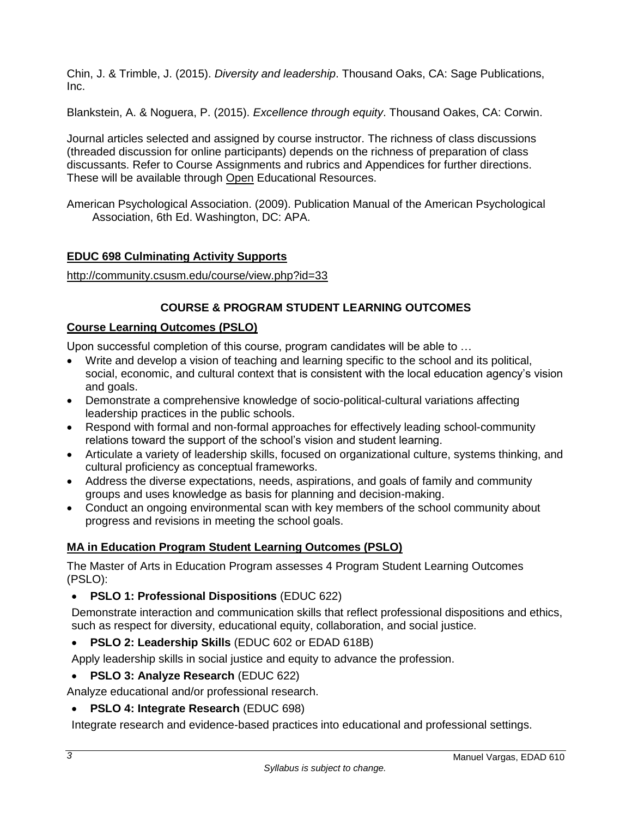Chin, J. & Trimble, J. (2015). *Diversity and leadership*. Thousand Oaks, CA: Sage Publications, Inc.

Blankstein, A. & Noguera, P. (2015). *Excellence through equity*. Thousand Oakes, CA: Corwin.

Journal articles selected and assigned by course instructor. The richness of class discussions (threaded discussion for online participants) depends on the richness of preparation of class discussants. Refer to Course Assignments and rubrics and Appendices for further directions. These will be available through Open Educational Resources.

American Psychological Association. (2009). Publication Manual of the American Psychological Association, 6th Ed. Washington, DC: APA.

# <span id="page-4-0"></span>**EDUC 698 Culminating Activity Supports**

<http://community.csusm.edu/course/view.php?id=33>

# **COURSE & PROGRAM STUDENT LEARNING OUTCOMES**

# <span id="page-4-2"></span><span id="page-4-1"></span>**Course Learning Outcomes (PSLO)**

Upon successful completion of this course, program candidates will be able to …

- Write and develop a vision of teaching and learning specific to the school and its political, social, economic, and cultural context that is consistent with the local education agency's vision and goals.
- Demonstrate a comprehensive knowledge of socio-political-cultural variations affecting leadership practices in the public schools.
- Respond with formal and non-formal approaches for effectively leading school-community relations toward the support of the school's vision and student learning.
- Articulate a variety of leadership skills, focused on organizational culture, systems thinking, and cultural proficiency as conceptual frameworks.
- Address the diverse expectations, needs, aspirations, and goals of family and community groups and uses knowledge as basis for planning and decision-making.
- Conduct an ongoing environmental scan with key members of the school community about progress and revisions in meeting the school goals.

# <span id="page-4-3"></span>**MA in Education Program Student Learning Outcomes (PSLO)**

The Master of Arts in Education Program assesses 4 Program Student Learning Outcomes (PSLO):

**PSLO 1: Professional Dispositions** (EDUC 622)

Demonstrate interaction and communication skills that reflect professional dispositions and ethics, such as respect for diversity, educational equity, collaboration, and social justice.

**PSLO 2: Leadership Skills** (EDUC 602 or EDAD 618B)

Apply leadership skills in social justice and equity to advance the profession.

**PSLO 3: Analyze Research** (EDUC 622)

Analyze educational and/or professional research.

**PSLO 4: Integrate Research** (EDUC 698)

Integrate research and evidence-based practices into educational and professional settings.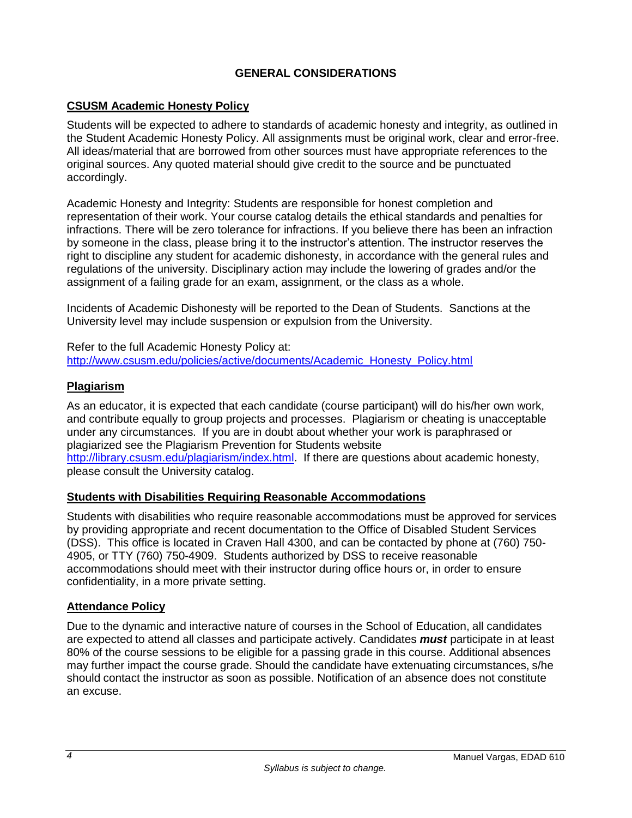# **GENERAL CONSIDERATIONS**

## <span id="page-5-1"></span><span id="page-5-0"></span>**CSUSM Academic Honesty Policy**

Students will be expected to adhere to standards of academic honesty and integrity, as outlined in the Student Academic Honesty Policy. All assignments must be original work, clear and error-free. All ideas/material that are borrowed from other sources must have appropriate references to the original sources. Any quoted material should give credit to the source and be punctuated accordingly.

Academic Honesty and Integrity: Students are responsible for honest completion and representation of their work. Your course catalog details the ethical standards and penalties for infractions. There will be zero tolerance for infractions. If you believe there has been an infraction by someone in the class, please bring it to the instructor's attention. The instructor reserves the right to discipline any student for academic dishonesty, in accordance with the general rules and regulations of the university. Disciplinary action may include the lowering of grades and/or the assignment of a failing grade for an exam, assignment, or the class as a whole.

Incidents of Academic Dishonesty will be reported to the Dean of Students. Sanctions at the University level may include suspension or expulsion from the University.

Refer to the full Academic Honesty Policy at: [http://www.csusm.edu/policies/active/documents/Academic\\_Honesty\\_Policy.html](http://www.csusm.edu/policies/active/documents/Academic_Honesty_Policy.html)

## <span id="page-5-2"></span>**Plagiarism**

As an educator, it is expected that each candidate (course participant) will do his/her own work, and contribute equally to group projects and processes. Plagiarism or cheating is unacceptable under any circumstances. If you are in doubt about whether your work is paraphrased or plagiarized see the Plagiarism Prevention for Students website [http://library.csusm.edu/plagiarism/index.html.](http://library.csusm.edu/plagiarism/index.html) If there are questions about academic honesty, please consult the University catalog.

### <span id="page-5-3"></span>**Students with Disabilities Requiring Reasonable Accommodations**

Students with disabilities who require reasonable accommodations must be approved for services by providing appropriate and recent documentation to the Office of Disabled Student Services (DSS). This office is located in Craven Hall 4300, and can be contacted by phone at (760) 750- 4905, or TTY (760) 750-4909. Students authorized by DSS to receive reasonable accommodations should meet with their instructor during office hours or, in order to ensure confidentiality, in a more private setting.

### <span id="page-5-4"></span>**Attendance Policy**

Due to the dynamic and interactive nature of courses in the School of Education, all candidates are expected to attend all classes and participate actively. Candidates *must* participate in at least 80% of the course sessions to be eligible for a passing grade in this course. Additional absences may further impact the course grade. Should the candidate have extenuating circumstances, s/he should contact the instructor as soon as possible. Notification of an absence does not constitute an excuse.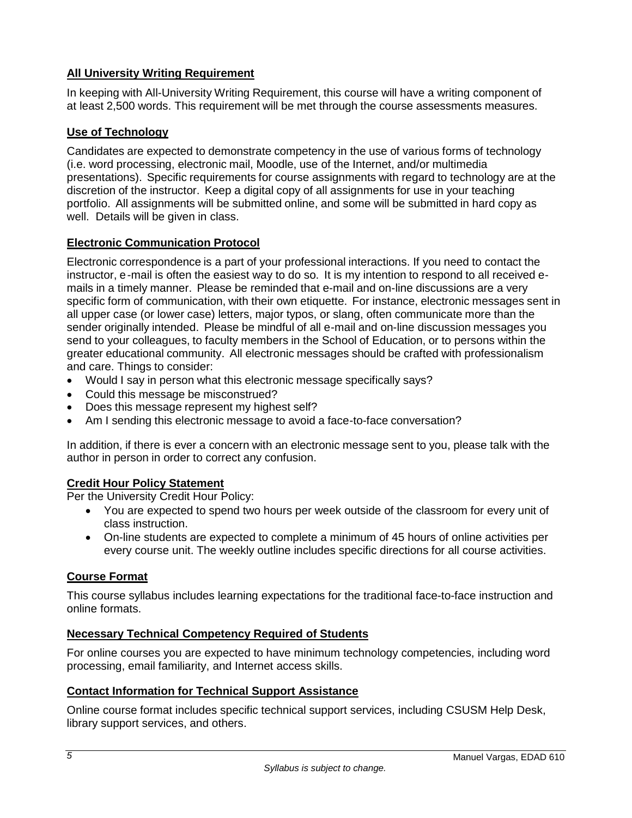# <span id="page-6-0"></span>**All University Writing Requirement**

In keeping with All-University Writing Requirement, this course will have a writing component of at least 2,500 words. This requirement will be met through the course assessments measures.

# <span id="page-6-1"></span>**Use of Technology**

Candidates are expected to demonstrate competency in the use of various forms of technology (i.e. word processing, electronic mail, Moodle, use of the Internet, and/or multimedia presentations). Specific requirements for course assignments with regard to technology are at the discretion of the instructor. Keep a digital copy of all assignments for use in your teaching portfolio. All assignments will be submitted online, and some will be submitted in hard copy as well. Details will be given in class.

# <span id="page-6-2"></span>**Electronic Communication Protocol**

Electronic correspondence is a part of your professional interactions. If you need to contact the instructor, e-mail is often the easiest way to do so. It is my intention to respond to all received emails in a timely manner. Please be reminded that e-mail and on-line discussions are a very specific form of communication, with their own etiquette. For instance, electronic messages sent in all upper case (or lower case) letters, major typos, or slang, often communicate more than the sender originally intended. Please be mindful of all e-mail and on-line discussion messages you send to your colleagues, to faculty members in the School of Education, or to persons within the greater educational community. All electronic messages should be crafted with professionalism and care. Things to consider:

- Would I say in person what this electronic message specifically says?
- Could this message be misconstrued?
- Does this message represent my highest self?
- Am I sending this electronic message to avoid a face-to-face conversation?

In addition, if there is ever a concern with an electronic message sent to you, please talk with the author in person in order to correct any confusion.

### **Credit Hour Policy Statement**

Per the University Credit Hour Policy:

- You are expected to spend two hours per week outside of the classroom for every unit of class instruction.
- On-line students are expected to complete a minimum of 45 hours of online activities per every course unit. The weekly outline includes specific directions for all course activities.

# <span id="page-6-3"></span>**Course Format**

This course syllabus includes learning expectations for the traditional face-to-face instruction and online formats.

# <span id="page-6-4"></span>**Necessary Technical Competency Required of Students**

For online courses you are expected to have minimum technology competencies, including word processing, email familiarity, and Internet access skills.

### <span id="page-6-5"></span>**Contact Information for Technical Support Assistance**

Online course format includes specific technical support services, including CSUSM Help Desk, library support services, and others.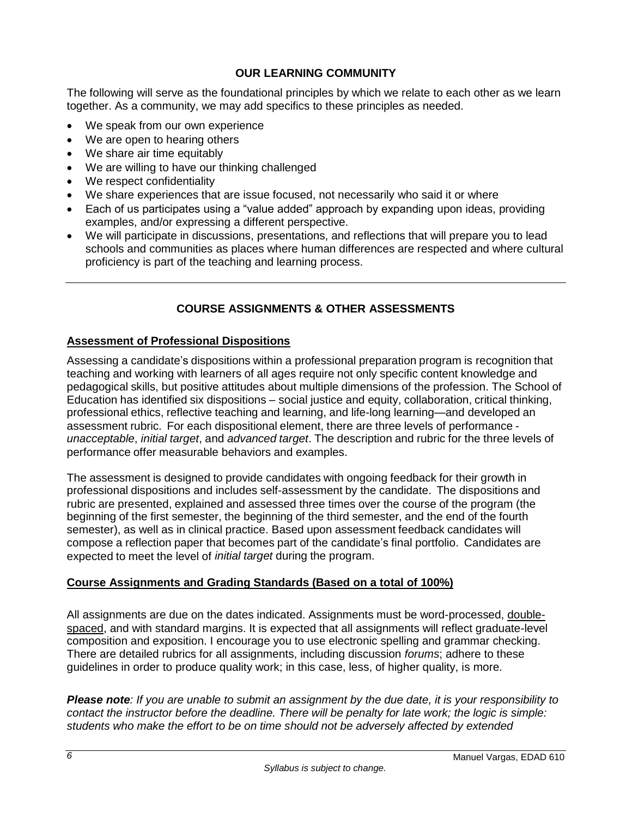## **OUR LEARNING COMMUNITY**

<span id="page-7-0"></span>The following will serve as the foundational principles by which we relate to each other as we learn together. As a community, we may add specifics to these principles as needed.

- We speak from our own experience
- We are open to hearing others
- We share air time equitably
- We are willing to have our thinking challenged
- We respect confidentiality
- We share experiences that are issue focused, not necessarily who said it or where
- Each of us participates using a "value added" approach by expanding upon ideas, providing examples, and/or expressing a different perspective.
- We will participate in discussions, presentations, and reflections that will prepare you to lead schools and communities as places where human differences are respected and where cultural proficiency is part of the teaching and learning process.

# **COURSE ASSIGNMENTS & OTHER ASSESSMENTS**

### <span id="page-7-2"></span><span id="page-7-1"></span>**Assessment of Professional Dispositions**

Assessing a candidate's dispositions within a professional preparation program is recognition that teaching and working with learners of all ages require not only specific content knowledge and pedagogical skills, but positive attitudes about multiple dimensions of the profession. The School of Education has identified six dispositions – social justice and equity, collaboration, critical thinking, professional ethics, reflective teaching and learning, and life-long learning—and developed an assessment rubric. For each dispositional element, there are three levels of performance *unacceptable*, *initial target*, and *advanced target*. The description and rubric for the three levels of performance offer measurable behaviors and examples.

The assessment is designed to provide candidates with ongoing feedback for their growth in professional dispositions and includes self-assessment by the candidate. The dispositions and rubric are presented, explained and assessed three times over the course of the program (the beginning of the first semester, the beginning of the third semester, and the end of the fourth semester), as well as in clinical practice. Based upon assessment feedback candidates will compose a reflection paper that becomes part of the candidate's final portfolio. Candidates are expected to meet the level of *initial target* during the program.

### <span id="page-7-3"></span>**Course Assignments and Grading Standards (Based on a total of 100%)**

All assignments are due on the dates indicated. Assignments must be word-processed, doublespaced, and with standard margins. It is expected that all assignments will reflect graduate-level composition and exposition. I encourage you to use electronic spelling and grammar checking. There are detailed rubrics for all assignments, including discussion *forums*; adhere to these guidelines in order to produce quality work; in this case, less, of higher quality, is more.

*Please note: If you are unable to submit an assignment by the due date, it is your responsibility to contact the instructor before the deadline. There will be penalty for late work; the logic is simple: students who make the effort to be on time should not be adversely affected by extended*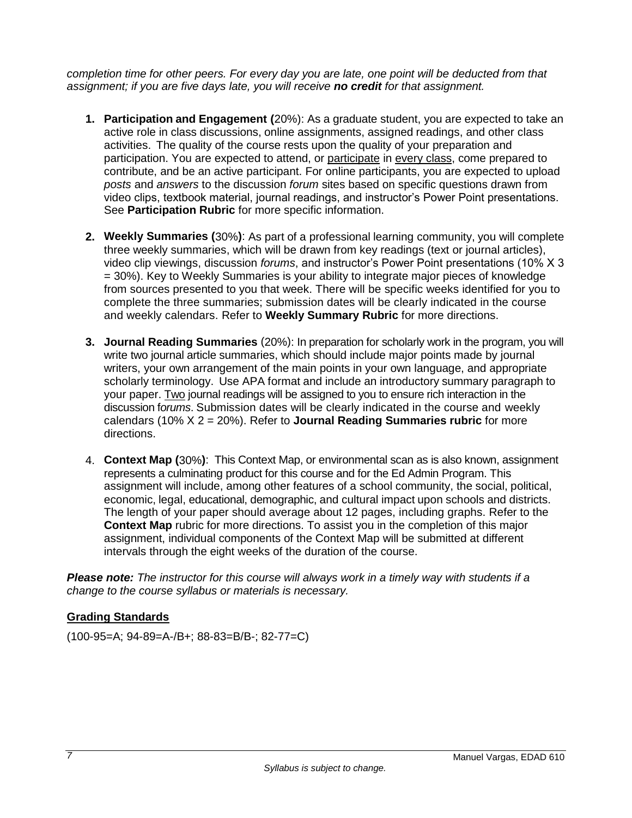*completion time for other peers. For every day you are late, one point will be deducted from that assignment; if you are five days late, you will receive no credit for that assignment.*

- **1. Participation and Engagement (**20%): As a graduate student, you are expected to take an active role in class discussions, online assignments, assigned readings, and other class activities. The quality of the course rests upon the quality of your preparation and participation. You are expected to attend, or participate in every class, come prepared to contribute, and be an active participant. For online participants, you are expected to upload *posts* and *answers* to the discussion *forum* sites based on specific questions drawn from video clips, textbook material, journal readings, and instructor's Power Point presentations. See **Participation Rubric** for more specific information.
- **2. Weekly Summaries (**30%**)**: As part of a professional learning community, you will complete three weekly summaries, which will be drawn from key readings (text or journal articles), video clip viewings, discussion *forums*, and instructor's Power Point presentations (10% X 3 = 30%). Key to Weekly Summaries is your ability to integrate major pieces of knowledge from sources presented to you that week. There will be specific weeks identified for you to complete the three summaries; submission dates will be clearly indicated in the course and weekly calendars. Refer to **Weekly Summary Rubric** for more directions.
- **3. Journal Reading Summaries** (20%): In preparation for scholarly work in the program, you will write two journal article summaries, which should include major points made by journal writers, your own arrangement of the main points in your own language, and appropriate scholarly terminology. Use APA format and include an introductory summary paragraph to your paper. Two journal readings will be assigned to you to ensure rich interaction in the discussion f*orums*. Submission dates will be clearly indicated in the course and weekly calendars (10% X 2 = 20%). Refer to **Journal Reading Summaries rubric** for more directions.
- 4. **Context Map (**30%**)**: This Context Map, or environmental scan as is also known, assignment represents a culminating product for this course and for the Ed Admin Program. This assignment will include, among other features of a school community, the social, political, economic, legal, educational, demographic, and cultural impact upon schools and districts. The length of your paper should average about 12 pages, including graphs. Refer to the **Context Map** rubric for more directions. To assist you in the completion of this major assignment, individual components of the Context Map will be submitted at different intervals through the eight weeks of the duration of the course.

*Please note: The instructor for this course will always work in a timely way with students if a change to the course syllabus or materials is necessary.*

# <span id="page-8-0"></span>**Grading Standards**

(100-95=A; 94-89=A-/B+; 88-83=B/B-; 82-77=C)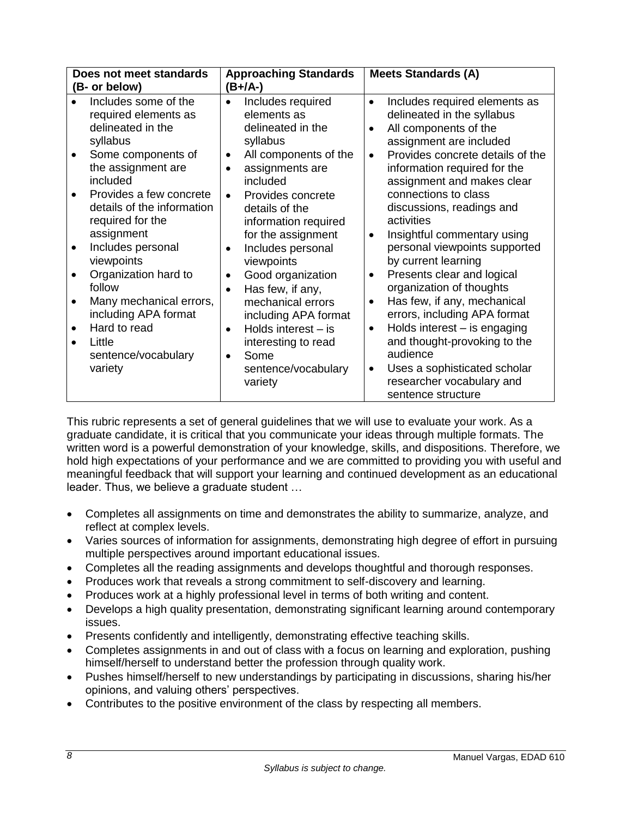|                                                                                                                                                                          | Does not meet standards                                                                                                                                                                                |                                                                            | <b>Approaching Standards</b>                                                                                                                                                                                                                                                                                                                                                            |                                                                            | <b>Meets Standards (A)</b>                                                                                                                                                                                                                                                                                                                                                                                                                                                                                                                                           |
|--------------------------------------------------------------------------------------------------------------------------------------------------------------------------|--------------------------------------------------------------------------------------------------------------------------------------------------------------------------------------------------------|----------------------------------------------------------------------------|-----------------------------------------------------------------------------------------------------------------------------------------------------------------------------------------------------------------------------------------------------------------------------------------------------------------------------------------------------------------------------------------|----------------------------------------------------------------------------|----------------------------------------------------------------------------------------------------------------------------------------------------------------------------------------------------------------------------------------------------------------------------------------------------------------------------------------------------------------------------------------------------------------------------------------------------------------------------------------------------------------------------------------------------------------------|
| (B- or below)                                                                                                                                                            |                                                                                                                                                                                                        |                                                                            | (B+/A-)                                                                                                                                                                                                                                                                                                                                                                                 |                                                                            |                                                                                                                                                                                                                                                                                                                                                                                                                                                                                                                                                                      |
| delineated in the<br>syllabus<br>the assignment are<br>included<br>required for the<br>assignment<br>Includes personal<br>viewpoints<br>follow<br>Hard to read<br>Little | Includes some of the<br>required elements as<br>Some components of<br>Provides a few concrete<br>details of the information<br>Organization hard to<br>Many mechanical errors,<br>including APA format | $\bullet$<br>$\bullet$<br>$\bullet$<br>$\bullet$<br>$\bullet$<br>$\bullet$ | Includes required<br>elements as<br>delineated in the<br>syllabus<br>All components of the<br>assignments are<br>included<br>Provides concrete<br>details of the<br>information required<br>for the assignment<br>Includes personal<br>viewpoints<br>Good organization<br>Has few, if any,<br>mechanical errors<br>including APA format<br>Holds interest $-$ is<br>interesting to read | $\bullet$<br>$\bullet$<br>$\bullet$<br>$\bullet$<br>$\bullet$<br>$\bullet$ | Includes required elements as<br>delineated in the syllabus<br>All components of the<br>assignment are included<br>Provides concrete details of the<br>information required for the<br>assignment and makes clear<br>connections to class<br>discussions, readings and<br>activities<br>Insightful commentary using<br>personal viewpoints supported<br>by current learning<br>Presents clear and logical<br>organization of thoughts<br>Has few, if any, mechanical<br>errors, including APA format<br>Holds interest - is engaging<br>and thought-provoking to the |
| variety                                                                                                                                                                  | sentence/vocabulary                                                                                                                                                                                    | $\bullet$                                                                  | Some<br>sentence/vocabulary<br>variety                                                                                                                                                                                                                                                                                                                                                  | $\bullet$                                                                  | audience<br>Uses a sophisticated scholar<br>researcher vocabulary and<br>sentence structure                                                                                                                                                                                                                                                                                                                                                                                                                                                                          |

This rubric represents a set of general guidelines that we will use to evaluate your work. As a graduate candidate, it is critical that you communicate your ideas through multiple formats. The written word is a powerful demonstration of your knowledge, skills, and dispositions. Therefore, we hold high expectations of your performance and we are committed to providing you with useful and meaningful feedback that will support your learning and continued development as an educational leader. Thus, we believe a graduate student …

- Completes all assignments on time and demonstrates the ability to summarize, analyze, and reflect at complex levels.
- Varies sources of information for assignments, demonstrating high degree of effort in pursuing multiple perspectives around important educational issues.
- Completes all the reading assignments and develops thoughtful and thorough responses.
- Produces work that reveals a strong commitment to self-discovery and learning.
- Produces work at a highly professional level in terms of both writing and content.
- Develops a high quality presentation, demonstrating significant learning around contemporary issues.
- Presents confidently and intelligently, demonstrating effective teaching skills.
- Completes assignments in and out of class with a focus on learning and exploration, pushing himself/herself to understand better the profession through quality work.
- Pushes himself/herself to new understandings by participating in discussions, sharing his/her opinions, and valuing others' perspectives.
- Contributes to the positive environment of the class by respecting all members.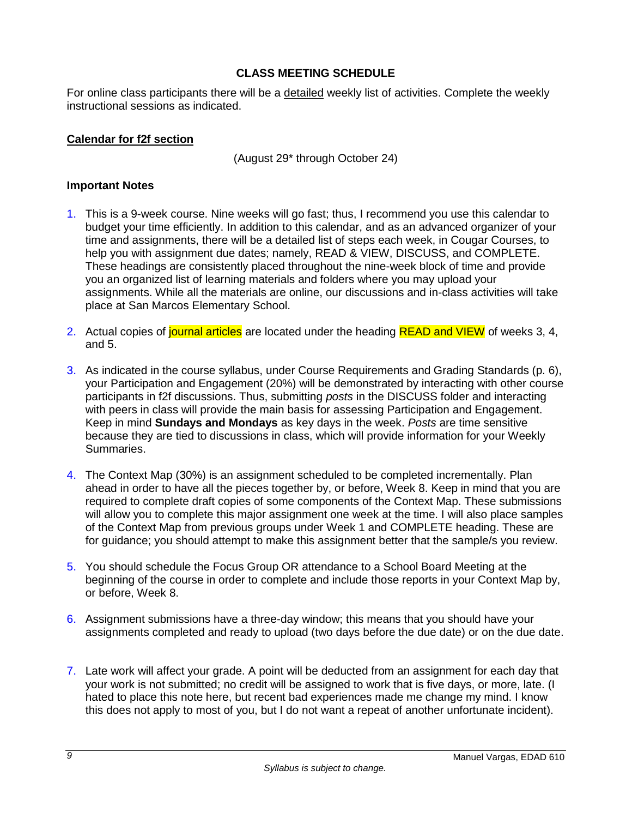# **CLASS MEETING SCHEDULE**

<span id="page-10-0"></span>For online class participants there will be a detailed weekly list of activities. Complete the weekly instructional sessions as indicated.

## <span id="page-10-1"></span>**Calendar for f2f section**

(August 29\* through October 24)

### **Important Notes**

- 1. This is a 9-week course. Nine weeks will go fast; thus, I recommend you use this calendar to budget your time efficiently. In addition to this calendar, and as an advanced organizer of your time and assignments, there will be a detailed list of steps each week, in Cougar Courses, to help you with assignment due dates; namely, READ & VIEW, DISCUSS, and COMPLETE. These headings are consistently placed throughout the nine-week block of time and provide you an organized list of learning materials and folders where you may upload your assignments. While all the materials are online, our discussions and in-class activities will take place at San Marcos Elementary School.
- 2. Actual copies of journal articles are located under the heading READ and VIEW of weeks 3, 4, and 5.
- 3. As indicated in the course syllabus, under Course Requirements and Grading Standards (p. 6), your Participation and Engagement (20%) will be demonstrated by interacting with other course participants in f2f discussions. Thus, submitting *posts* in the DISCUSS folder and interacting with peers in class will provide the main basis for assessing Participation and Engagement. Keep in mind **Sundays and Mondays** as key days in the week. *Posts* are time sensitive because they are tied to discussions in class, which will provide information for your Weekly Summaries.
- 4. The Context Map (30%) is an assignment scheduled to be completed incrementally. Plan ahead in order to have all the pieces together by, or before, Week 8. Keep in mind that you are required to complete draft copies of some components of the Context Map. These submissions will allow you to complete this major assignment one week at the time. I will also place samples of the Context Map from previous groups under Week 1 and COMPLETE heading. These are for guidance; you should attempt to make this assignment better that the sample/s you review.
- 5. You should schedule the Focus Group OR attendance to a School Board Meeting at the beginning of the course in order to complete and include those reports in your Context Map by, or before, Week 8.
- 6. Assignment submissions have a three-day window; this means that you should have your assignments completed and ready to upload (two days before the due date) or on the due date.
- 7. Late work will affect your grade. A point will be deducted from an assignment for each day that your work is not submitted; no credit will be assigned to work that is five days, or more, late. (I hated to place this note here, but recent bad experiences made me change my mind. I know this does not apply to most of you, but I do not want a repeat of another unfortunate incident).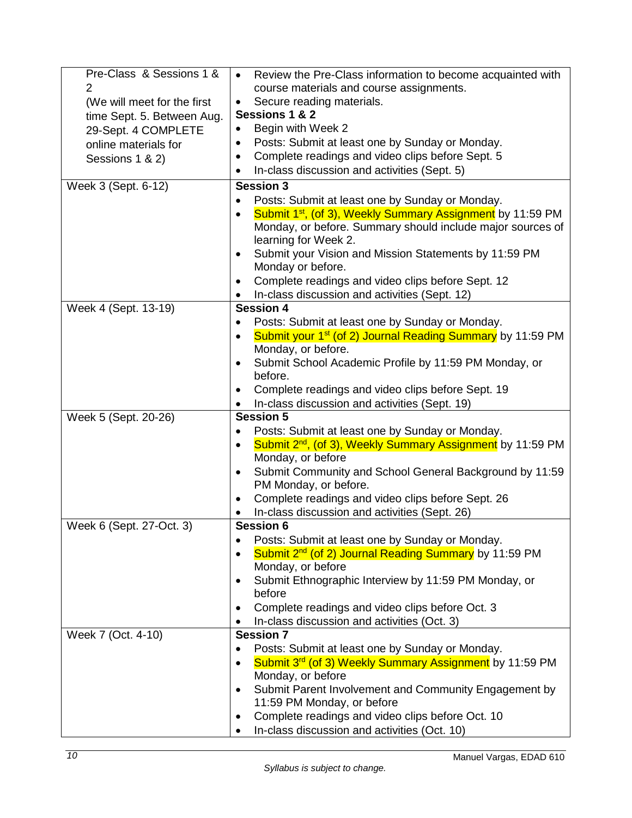| Pre-Class & Sessions 1 &    | Review the Pre-Class information to become acquainted with<br>$\bullet$                                   |  |
|-----------------------------|-----------------------------------------------------------------------------------------------------------|--|
| $\overline{2}$              | course materials and course assignments.                                                                  |  |
| (We will meet for the first | Secure reading materials.<br>$\bullet$                                                                    |  |
| time Sept. 5. Between Aug.  | Sessions 1 & 2                                                                                            |  |
| 29-Sept. 4 COMPLETE         | Begin with Week 2                                                                                         |  |
| online materials for        | Posts: Submit at least one by Sunday or Monday.<br>$\bullet$                                              |  |
| Sessions 1 & 2)             | Complete readings and video clips before Sept. 5<br>$\bullet$                                             |  |
|                             | In-class discussion and activities (Sept. 5)<br>$\bullet$                                                 |  |
| Week 3 (Sept. 6-12)         | <b>Session 3</b>                                                                                          |  |
|                             | Posts: Submit at least one by Sunday or Monday.<br>$\bullet$                                              |  |
|                             | Submit 1 <sup>st</sup> , (of 3), Weekly Summary Assignment by 11:59 PM<br>$\bullet$                       |  |
|                             | Monday, or before. Summary should include major sources of                                                |  |
|                             | learning for Week 2.                                                                                      |  |
|                             | Submit your Vision and Mission Statements by 11:59 PM                                                     |  |
|                             | Monday or before.                                                                                         |  |
|                             | Complete readings and video clips before Sept. 12<br>$\bullet$                                            |  |
|                             | In-class discussion and activities (Sept. 12)                                                             |  |
| Week 4 (Sept. 13-19)        | <b>Session 4</b>                                                                                          |  |
|                             | Posts: Submit at least one by Sunday or Monday.                                                           |  |
|                             | Submit your 1 <sup>st</sup> (of 2) Journal Reading Summary by 11:59 PM<br>$\bullet$<br>Monday, or before. |  |
|                             | Submit School Academic Profile by 11:59 PM Monday, or<br>$\bullet$                                        |  |
|                             | before.                                                                                                   |  |
|                             | Complete readings and video clips before Sept. 19<br>$\bullet$                                            |  |
|                             | In-class discussion and activities (Sept. 19)                                                             |  |
| Week 5 (Sept. 20-26)        | <b>Session 5</b>                                                                                          |  |
|                             | Posts: Submit at least one by Sunday or Monday.<br>$\bullet$                                              |  |
|                             | Submit 2 <sup>nd</sup> , (of 3), Weekly Summary Assignment by 11:59 PM                                    |  |
|                             | Monday, or before                                                                                         |  |
|                             | Submit Community and School General Background by 11:59<br>$\bullet$                                      |  |
|                             | PM Monday, or before.                                                                                     |  |
|                             | Complete readings and video clips before Sept. 26<br>$\bullet$                                            |  |
|                             | In-class discussion and activities (Sept. 26)                                                             |  |
| Week 6 (Sept. 27-Oct. 3)    | <b>Session 6</b>                                                                                          |  |
|                             | Posts: Submit at least one by Sunday or Monday.                                                           |  |
|                             | Submit 2 <sup>nd</sup> (of 2) Journal Reading Summary by 11:59 PM<br>$\bullet$                            |  |
|                             | Monday, or before                                                                                         |  |
|                             | Submit Ethnographic Interview by 11:59 PM Monday, or<br>before                                            |  |
|                             | Complete readings and video clips before Oct. 3                                                           |  |
|                             | In-class discussion and activities (Oct. 3)                                                               |  |
| Week 7 (Oct. 4-10)          | <b>Session 7</b>                                                                                          |  |
|                             | Posts: Submit at least one by Sunday or Monday.                                                           |  |
|                             | Submit 3 <sup>rd</sup> (of 3) Weekly Summary Assignment by 11:59 PM                                       |  |
|                             | Monday, or before                                                                                         |  |
|                             | Submit Parent Involvement and Community Engagement by                                                     |  |
|                             | 11:59 PM Monday, or before                                                                                |  |
|                             | Complete readings and video clips before Oct. 10                                                          |  |
|                             | In-class discussion and activities (Oct. 10)                                                              |  |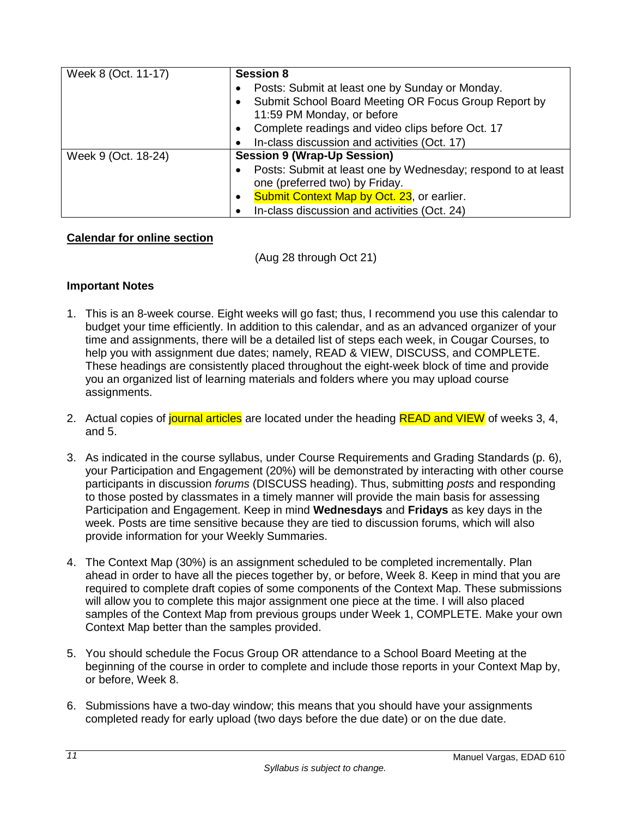| Week 8 (Oct. 11-17) | <b>Session 8</b>                                                          |
|---------------------|---------------------------------------------------------------------------|
|                     | Posts: Submit at least one by Sunday or Monday.<br>$\bullet$              |
|                     | Submit School Board Meeting OR Focus Group Report by                      |
|                     | 11:59 PM Monday, or before                                                |
|                     | Complete readings and video clips before Oct. 17<br>$\bullet$             |
|                     | In-class discussion and activities (Oct. 17)                              |
| Week 9 (Oct. 18-24) | <b>Session 9 (Wrap-Up Session)</b>                                        |
|                     | Posts: Submit at least one by Wednesday; respond to at least<br>$\bullet$ |
|                     | one (preferred two) by Friday.                                            |
|                     | Submit Context Map by Oct. 23, or earlier.<br>$\bullet$                   |
|                     | In-class discussion and activities (Oct. 24)                              |

## <span id="page-12-0"></span>**Calendar for online section**

(Aug 28 through Oct 21)

## **Important Notes**

- 1. This is an 8-week course. Eight weeks will go fast; thus, I recommend you use this calendar to budget your time efficiently. In addition to this calendar, and as an advanced organizer of your time and assignments, there will be a detailed list of steps each week, in Cougar Courses, to help you with assignment due dates; namely, READ & VIEW, DISCUSS, and COMPLETE. These headings are consistently placed throughout the eight-week block of time and provide you an organized list of learning materials and folders where you may upload course assignments.
- 2. Actual copies of journal articles are located under the heading READ and VIEW of weeks 3, 4, and 5.
- 3. As indicated in the course syllabus, under Course Requirements and Grading Standards (p. 6), your Participation and Engagement (20%) will be demonstrated by interacting with other course participants in discussion *forums* (DISCUSS heading). Thus, submitting *posts* and responding to those posted by classmates in a timely manner will provide the main basis for assessing Participation and Engagement. Keep in mind **Wednesdays** and **Fridays** as key days in the week. Posts are time sensitive because they are tied to discussion forums, which will also provide information for your Weekly Summaries.
- 4. The Context Map (30%) is an assignment scheduled to be completed incrementally. Plan ahead in order to have all the pieces together by, or before, Week 8. Keep in mind that you are required to complete draft copies of some components of the Context Map. These submissions will allow you to complete this major assignment one piece at the time. I will also placed samples of the Context Map from previous groups under Week 1, COMPLETE. Make your own Context Map better than the samples provided.
- 5. You should schedule the Focus Group OR attendance to a School Board Meeting at the beginning of the course in order to complete and include those reports in your Context Map by, or before, Week 8.
- 6. Submissions have a two-day window; this means that you should have your assignments completed ready for early upload (two days before the due date) or on the due date.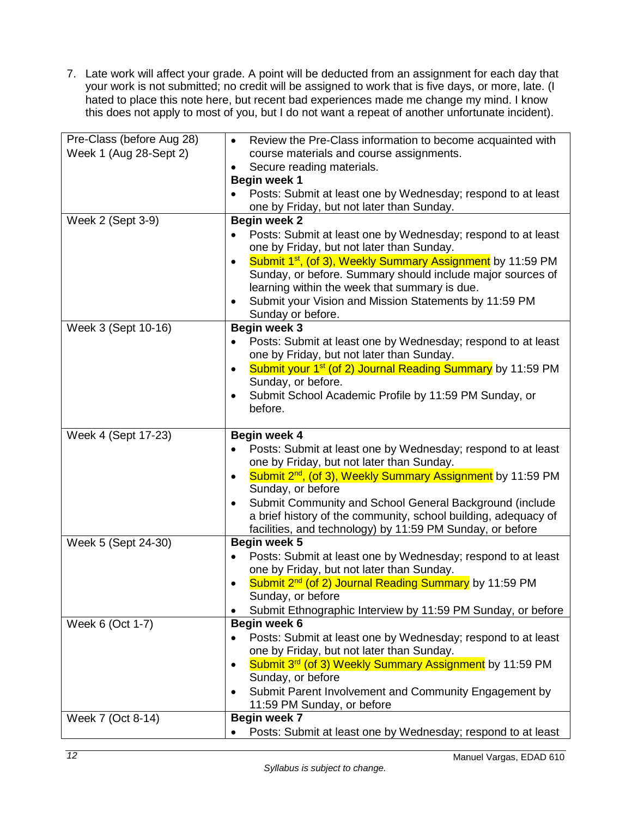7. Late work will affect your grade. A point will be deducted from an assignment for each day that your work is not submitted; no credit will be assigned to work that is five days, or more, late. (I hated to place this note here, but recent bad experiences made me change my mind. I know this does not apply to most of you, but I do not want a repeat of another unfortunate incident).

| Pre-Class (before Aug 28) | Review the Pre-Class information to become acquainted with<br>$\bullet$                                   |  |
|---------------------------|-----------------------------------------------------------------------------------------------------------|--|
| Week 1 (Aug 28-Sept 2)    | course materials and course assignments.                                                                  |  |
|                           | Secure reading materials.                                                                                 |  |
|                           | <b>Begin week 1</b>                                                                                       |  |
|                           | Posts: Submit at least one by Wednesday; respond to at least                                              |  |
|                           | one by Friday, but not later than Sunday.                                                                 |  |
| Week 2 (Sept 3-9)         | <b>Begin week 2</b>                                                                                       |  |
|                           | Posts: Submit at least one by Wednesday; respond to at least<br>$\bullet$                                 |  |
|                           | one by Friday, but not later than Sunday.                                                                 |  |
|                           | Submit 1 <sup>st</sup> , (of 3), Weekly Summary Assignment by 11:59 PM<br>$\bullet$                       |  |
|                           | Sunday, or before. Summary should include major sources of                                                |  |
|                           | learning within the week that summary is due.                                                             |  |
|                           | Submit your Vision and Mission Statements by 11:59 PM                                                     |  |
|                           | Sunday or before.                                                                                         |  |
| Week 3 (Sept 10-16)       | <b>Begin week 3</b>                                                                                       |  |
|                           | Posts: Submit at least one by Wednesday; respond to at least                                              |  |
|                           | one by Friday, but not later than Sunday.                                                                 |  |
|                           | Submit your 1 <sup>st</sup> (of 2) Journal Reading Summary by 11:59 PM<br>$\bullet$<br>Sunday, or before. |  |
|                           | Submit School Academic Profile by 11:59 PM Sunday, or<br>$\bullet$                                        |  |
|                           | before.                                                                                                   |  |
|                           |                                                                                                           |  |
| Week 4 (Sept 17-23)       | Begin week 4                                                                                              |  |
|                           | Posts: Submit at least one by Wednesday; respond to at least                                              |  |
|                           | one by Friday, but not later than Sunday.                                                                 |  |
|                           | Submit 2 <sup>nd</sup> , (of 3), Weekly Summary Assignment by 11:59 PM<br>$\bullet$                       |  |
|                           | Sunday, or before                                                                                         |  |
|                           | Submit Community and School General Background (include<br>٠                                              |  |
|                           | a brief history of the community, school building, adequacy of                                            |  |
|                           | facilities, and technology) by 11:59 PM Sunday, or before                                                 |  |
| Week 5 (Sept 24-30)       | Begin week 5                                                                                              |  |
|                           | Posts: Submit at least one by Wednesday; respond to at least<br>٠                                         |  |
|                           | one by Friday, but not later than Sunday.                                                                 |  |
|                           | Submit 2 <sup>nd</sup> (of 2) Journal Reading Summary by 11:59 PM                                         |  |
|                           | Sunday, or before                                                                                         |  |
|                           | Submit Ethnographic Interview by 11:59 PM Sunday, or before                                               |  |
| Week 6 (Oct 1-7)          | Begin week 6                                                                                              |  |
|                           | Posts: Submit at least one by Wednesday; respond to at least<br>$\bullet$                                 |  |
|                           | one by Friday, but not later than Sunday.                                                                 |  |
|                           | Submit 3 <sup>rd</sup> (of 3) Weekly Summary Assignment by 11:59 PM<br>$\bullet$                          |  |
|                           | Sunday, or before                                                                                         |  |
|                           | Submit Parent Involvement and Community Engagement by<br>$\bullet$                                        |  |
|                           | 11:59 PM Sunday, or before                                                                                |  |
| Week 7 (Oct 8-14)         | Begin week 7                                                                                              |  |
|                           | Posts: Submit at least one by Wednesday; respond to at least                                              |  |